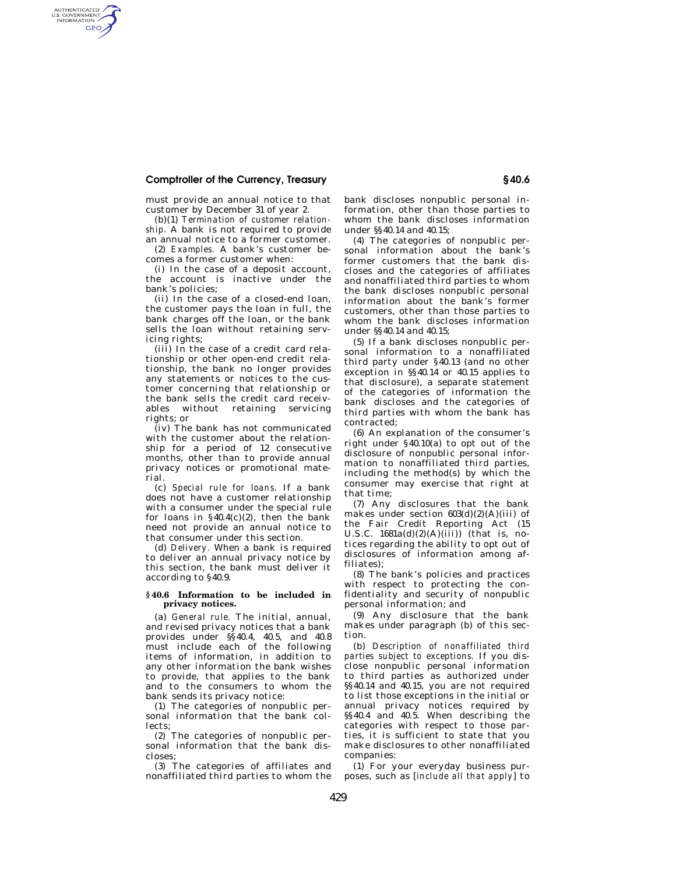## **Comptroller of the Currency, Treasury § 40.6**

AUTHENTICATED<br>U.S. GOVERNMENT<br>INFORMATION GPO

> must provide an annual notice to that customer by December 31 of year 2.

> (b)(1) *Termination of customer relationship.* A bank is not required to provide an annual notice to a former customer.

> (2) *Examples.* A bank's customer becomes a former customer when:

(i) In the case of a deposit account, the account is inactive under the bank's policies;

(ii) In the case of a closed-end loan, the customer pays the loan in full, the bank charges off the loan, or the bank sells the loan without retaining servicing rights;

(iii) In the case of a credit card relationship or other open-end credit relationship, the bank no longer provides any statements or notices to the customer concerning that relationship or the bank sells the credit card receivables without retaining servicing rights; or

(iv) The bank has not communicated with the customer about the relationship for a period of 12 consecutive months, other than to provide annual privacy notices or promotional material.

(c) *Special rule for loans.* If a bank does not have a customer relationship with a consumer under the special rule for loans in  $\S 40.4(c)(2)$ , then the bank need not provide an annual notice to that consumer under this section.

(d) *Delivery.* When a bank is required to deliver an annual privacy notice by this section, the bank must deliver it according to §40.9.

## **§ 40.6 Information to be included in privacy notices.**

(a) *General rule.* The initial, annual, and revised privacy notices that a bank provides under §§40.4, 40.5, and 40.8 .<br>must include each of the following items of information, in addition to any other information the bank wishes to provide, that applies to the bank and to the consumers to whom the bank sends its privacy notice:

(1) The categories of nonpublic personal information that the bank collects;

(2) The categories of nonpublic personal information that the bank discloses;

(3) The categories of affiliates and nonaffiliated third parties to whom the bank discloses nonpublic personal information, other than those parties to whom the bank discloses information under §§40.14 and 40.15;

(4) The categories of nonpublic personal information about the bank's former customers that the bank discloses and the categories of affiliates and nonaffiliated third parties to whom the bank discloses nonpublic personal information about the bank's former customers, other than those parties to whom the bank discloses information under §§40.14 and 40.15;

(5) If a bank discloses nonpublic personal information to a nonaffiliated third party under §40.13 (and no other exception in §§40.14 or 40.15 applies to that disclosure), a separate statement of the categories of information the bank discloses and the categories of third parties with whom the bank has contracted;

(6) An explanation of the consumer's right under §40.10(a) to opt out of the disclosure of nonpublic personal information to nonaffiliated third parties, including the method(s) by which the consumer may exercise that right at that time;

(7) Any disclosures that the bank makes under section  $603(d)(2)(A)(iii)$  of the Fair Credit Reporting Act (15 U.S.C.  $1681a(d)(2)(A)(iii)$  (that is, notices regarding the ability to opt out of disclosures of information among affiliates);

(8) The bank's policies and practices with respect to protecting the confidentiality and security of nonpublic personal information; and

(9) Any disclosure that the bank makes under paragraph (b) of this section.

(b) *Description of nonaffiliated third parties subject to exceptions.* If you disclose nonpublic personal information to third parties as authorized under §§40.14 and 40.15, you are not required to list those exceptions in the initial or annual privacy notices required by §§40.4 and 40.5. When describing the categories with respect to those parties, it is sufficient to state that you make disclosures to other nonaffiliated companies:

(1) For your everyday business purposes, such as [*include all that apply*] to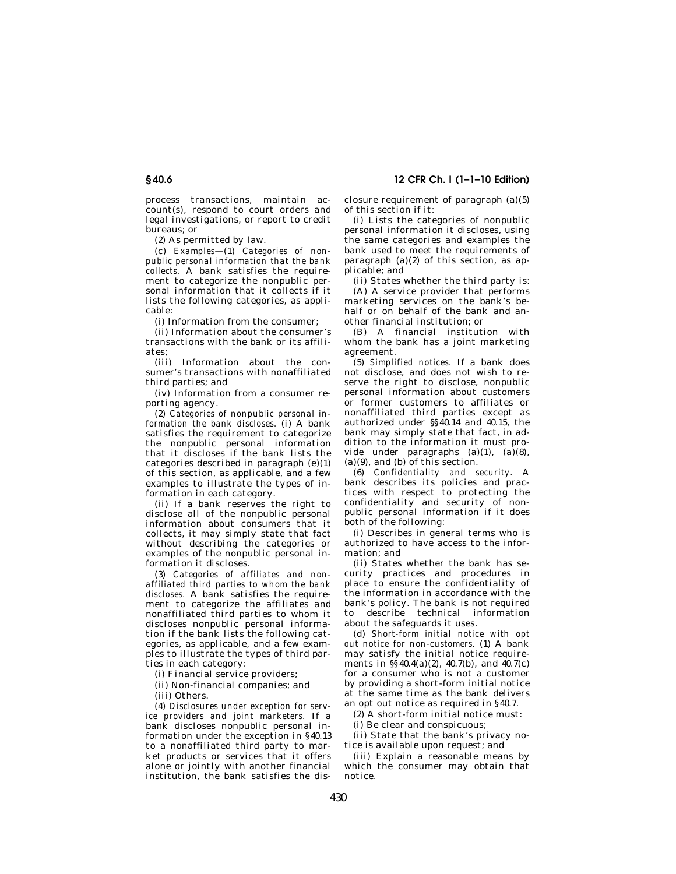process transactions, maintain account(s), respond to court orders and legal investigations, or report to credit

(2) As permitted by law.

bureaus; or

(c) *Examples*—(1) *Categories of nonpublic personal information that the bank collects.* A bank satisfies the requirement to categorize the nonpublic personal information that it collects if it lists the following categories, as applicable:

(i) Information from the consumer;

(ii) Information about the consumer's transactions with the bank or its affiliates;

(iii) Information about the consumer's transactions with nonaffiliated third parties; and

(iv) Information from a consumer reporting agency.

(2) *Categories of nonpublic personal information the bank discloses.* (i) A bank satisfies the requirement to categorize the nonpublic personal information that it discloses if the bank lists the categories described in paragraph (e)(1) of this section, as applicable, and a few examples to illustrate the types of information in each category.

(ii) If a bank reserves the right to disclose all of the nonpublic personal information about consumers that it collects, it may simply state that fact without describing the categories or examples of the nonpublic personal information it discloses.

(3) *Categories of affiliates and nonaffiliated third parties to whom the bank discloses.* A bank satisfies the requirement to categorize the affiliates and nonaffiliated third parties to whom it discloses nonpublic personal information if the bank lists the following categories, as applicable, and a few examples to illustrate the types of third parties in each category:

(i) Financial service providers;

(ii) Non-financial companies; and

(iii) Others.

(4) *Disclosures under exception for service providers and joint marketers.* If a bank discloses nonpublic personal information under the exception in §40.13 to a nonaffiliated third party to market products or services that it offers alone or jointly with another financial institution, the bank satisfies the disclosure requirement of paragraph (a)(5) of this section if it:

(i) Lists the categories of nonpublic personal information it discloses, using the same categories and examples the bank used to meet the requirements of paragraph (a)(2) of this section, as applicable; and

(ii) States whether the third party is:

(A) A service provider that performs marketing services on the bank's behalf or on behalf of the bank and another financial institution; or

(B) A financial institution with whom the bank has a joint marketing agreement.

(5) *Simplified notices.* If a bank does not disclose, and does not wish to reserve the right to disclose, nonpublic personal information about customers or former customers to affiliates or nonaffiliated third parties except as authorized under §§40.14 and 40.15, the bank may simply state that fact, in addition to the information it must provide under paragraphs  $(a)(1)$ ,  $(a)(8)$ , (a)(9), and (b) of this section.

(6) *Confidentiality and security.* A bank describes its policies and practices with respect to protecting the confidentiality and security of nonpublic personal information if it does both of the following:

(i) Describes in general terms who is authorized to have access to the information; and

(ii) States whether the bank has security practices and procedures in place to ensure the confidentiality of the information in accordance with the bank's policy. The bank is not required to describe technical information about the safeguards it uses.

(d) *Short-form initial notice with opt out notice for non-customers.* (1) A bank may satisfy the initial notice requirements in §§40.4(a)(2), 40.7(b), and 40.7(c) for a consumer who is not a customer by providing a short-form initial notice at the same time as the bank delivers an opt out notice as required in §40.7.

(2) A short-form initial notice must:

(i) Be clear and conspicuous;

(ii) State that the bank's privacy notice is available upon request; and

(iii) Explain a reasonable means by which the consumer may obtain that notice.